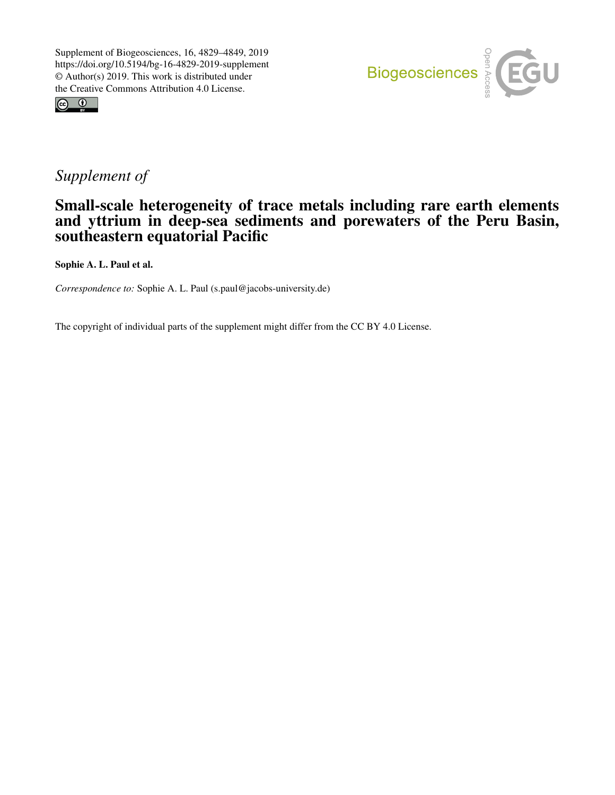



## *Supplement of*

## Small-scale heterogeneity of trace metals including rare earth elements and yttrium in deep-sea sediments and porewaters of the Peru Basin, southeastern equatorial Pacific

Sophie A. L. Paul et al.

*Correspondence to:* Sophie A. L. Paul (s.paul@jacobs-university.de)

The copyright of individual parts of the supplement might differ from the CC BY 4.0 License.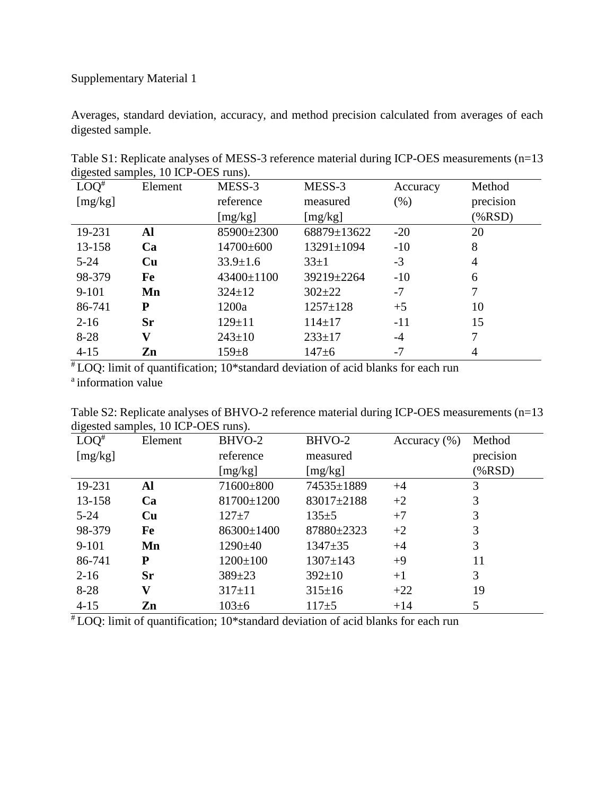## Supplementary Material 1

Averages, standard deviation, accuracy, and method precision calculated from averages of each digested sample.

| $LOQ^*$  | $\alpha$ and $\alpha$ samples, to fell $\alpha$ be rans).<br>Element | MESS-3         | MESS-3           | Accuracy | Method         |
|----------|----------------------------------------------------------------------|----------------|------------------|----------|----------------|
| [mg/kg]  |                                                                      | reference      | measured         | (% )     | precision      |
|          |                                                                      | [mg/kg]        | [mg/kg]          |          | $(\% RSD)$     |
| 19-231   | Al                                                                   | 85900±2300     | 68879±13622      | $-20$    | 20             |
| 13-158   | Ca                                                                   | 14700±600      | $13291 \pm 1094$ | $-10$    | 8              |
| $5 - 24$ | Cu                                                                   | $33.9 \pm 1.6$ | $33 \pm 1$       | $-3$     | $\overline{4}$ |
| 98-379   | Fe                                                                   | 43400±1100     | 39219±2264       | $-10$    | 6              |
| $9-101$  | Mn                                                                   | $324 \pm 12$   | $302 \pm 22$     | $-7$     | 7              |
| 86-741   | P                                                                    | 1200a          | $1257 \pm 128$   | $+5$     | 10             |
| $2-16$   | <b>Sr</b>                                                            | $129 \pm 11$   | $114 \pm 17$     | $-11$    | 15             |
| $8 - 28$ | $\bar{\mathbf{V}}$                                                   | $243 \pm 10$   | $233 \pm 17$     | $-4$     | 7              |
| $4 - 15$ | Zn                                                                   | $159 \pm 8$    | $147 + 6$        | $-7$     | 4              |

Table S1: Replicate analyses of MESS-3 reference material during ICP-OES measurements (n=13 digested samples, 10 ICP-OES runs).

 $*$  LOQ: limit of quantification; 10\*standard deviation of acid blanks for each run <sup>a</sup> information value

Table S2: Replicate analyses of BHVO-2 reference material during ICP-OES measurements (n=13 digested samples, 10 ICP-OES runs).

| --0<br>$LOQ^*$ | Element                 | BHVO-2         | BHVO-2         | Accuracy $(\% )$ | Method     |
|----------------|-------------------------|----------------|----------------|------------------|------------|
| [mg/kg]        |                         | reference      | measured       |                  | precision  |
|                |                         | [mg/kg]        | [mg/kg]        |                  | $(\% RSD)$ |
| 19-231         | Al                      | 71600±800      | 74535±1889     | $+4$             | 3          |
| 13-158         | Ca                      | 81700±1200     | 83017±2188     | $+2$             | 3          |
| $5 - 24$       | Cu                      | $127 + 7$      | $135 \pm 5$    | $+7$             | 3          |
| 98-379         | Fe                      | 86300±1400     | 87880±2323     | $+2$             | 3          |
| $9 - 101$      | Mn                      | $1290 \pm 40$  | $1347 + 35$    | $+4$             | 3          |
| 86-741         | ${\bf P}$               | $1200 \pm 100$ | $1307 \pm 143$ | $+9$             | 11         |
| $2 - 16$       | Sr                      | $389 \pm 23$   | $392 \pm 10$   | $+1$             | 3          |
| $8-28$         | $\overline{\mathbf{V}}$ | $317 \pm 11$   | $315 \pm 16$   | $+22$            | 19         |
| $4 - 15$       | Zn                      | $103 \pm 6$    | $117+5$        | $+14$            | 5          |

# LOQ: limit of quantification; 10\*standard deviation of acid blanks for each run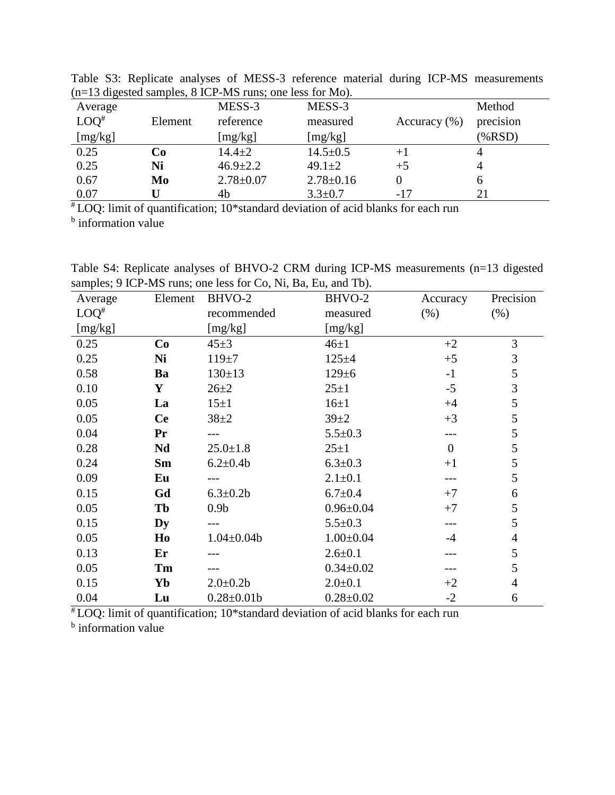|                    |         | $(n=13$ digested samples, $\delta$ ICP-MS runs; one less for MO). |                 |                  |                |
|--------------------|---------|-------------------------------------------------------------------|-----------------|------------------|----------------|
| Average            |         | MESS-3                                                            | MESS-3          |                  | Method         |
| $LOO$ <sup>#</sup> | Element | reference                                                         | measured        | Accuracy $(\% )$ | precision      |
| [mg/kg]            |         | [mg/kg]                                                           | [mg/kg]         |                  | $(\% RSD)$     |
| 0.25               | Co      | $14.4 \pm 2$                                                      | $14.5 \pm 0.5$  | $+1$             | 4              |
| 0.25               | Ni      | $46.9 \pm 2.2$                                                    | $49.1 \pm 2$    | $+5$             | $\overline{4}$ |
| 0.67               | Mo      | $2.78 \pm 0.07$                                                   | $2.78 \pm 0.16$ |                  | 6              |
| 0.07               |         | 4b                                                                | $3.3 \pm 0.7$   | $-17$            | 21             |

Table S3: Replicate analyses of MESS-3 reference material during ICP-MS measurements (n=13 digested samples, 8 ICP-MS runs; one less for Mo).

 $*$  LOQ: limit of quantification; 10\*standard deviation of acid blanks for each run

**b** information value

Table S4: Replicate analyses of BHVO-2 CRM during ICP-MS measurements (n=13 digested samples; 9 ICP-MS runs; one less for Co, Ni, Ba, Eu, and Tb).

| Average | Element   | BHVO-2           | BHVO-2          | Accuracy         | Precision      |
|---------|-----------|------------------|-----------------|------------------|----------------|
| $LOQ^*$ |           | recommended      | measured        | (% )             | (% )           |
| [mg/kg] |           | [mg/kg]          | [mg/kg]         |                  |                |
| 0.25    | Co        | $45 \pm 3$       | $46\pm1$        | $+2$             | 3              |
| 0.25    | Ni        | $119 + 7$        | $125 + 4$       | $+5$             | $\mathfrak{Z}$ |
| 0.58    | Ba        | $130 \pm 13$     | $129 \pm 6$     | $-1$             | $\mathfrak s$  |
| 0.10    | Y         | $26 + 2$         | $25 + 1$        | $-5$             | 3              |
| 0.05    | La        | $15\pm1$         | $16\pm1$        | $+4$             | 5              |
| 0.05    | <b>Ce</b> | $38 + 2$         | $39 + 2$        | $+3$             | 5              |
| 0.04    | Pr        |                  | $5.5 \pm 0.3$   |                  | 5              |
| 0.28    | Nd        | $25.0 \pm 1.8$   | $25 + 1$        | $\boldsymbol{0}$ | 5              |
| 0.24    | Sm        | $6.2 \pm 0.4$    | $6.3 \pm 0.3$   | $+1$             | 5              |
| 0.09    | Eu        |                  | $2.1 \pm 0.1$   |                  | 5              |
| 0.15    | Gd        | $6.3 \pm 0.2 b$  | $6.7 \pm 0.4$   | $+7$             | 6              |
| 0.05    | Tb        | 0.9 <sub>b</sub> | $0.96 \pm 0.04$ | $+7$             | 5              |
| 0.15    | Dy        |                  | $5.5 \pm 0.3$   |                  | 5              |
| 0.05    | Ho        | $1.04 \pm 0.04$  | $1.00 \pm 0.04$ | $-4$             | $\overline{4}$ |
| 0.13    | Er        |                  | $2.6 \pm 0.1$   |                  | 5              |
| 0.05    | Tm        |                  | $0.34 \pm 0.02$ |                  | 5              |
| 0.15    | Yb        | $2.0 \pm 0.2$    | $2.0 \pm 0.1$   | $+2$             | $\overline{4}$ |
| 0.04    | Lu        | $0.28 \pm 0.01$  | $0.28 \pm 0.02$ | $-2$             | 6              |

# LOQ: limit of quantification; 10\*standard deviation of acid blanks for each run <sup>b</sup> information value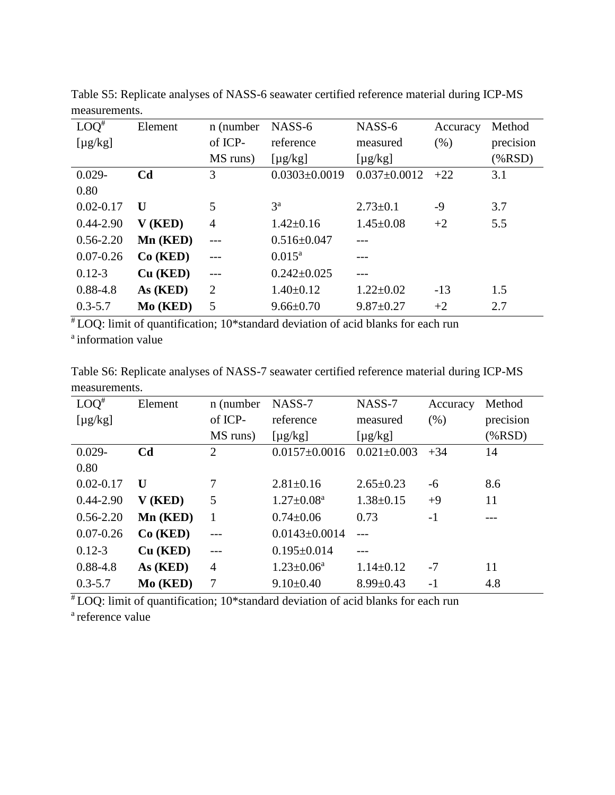| $LOQ^*$       | Element        | n (number      | NASS-6              | NASS-6             | Accuracy | Method     |
|---------------|----------------|----------------|---------------------|--------------------|----------|------------|
| $[\mu g/kg]$  |                | of ICP-        | reference           | measured           | (% )     | precision  |
|               |                | MS runs)       | $[\mu g/kg]$        | $[\mu g/kg]$       |          | $(\% RSD)$ |
| $0.029 -$     | C <sub>d</sub> | 3              | $0.0303 \pm 0.0019$ | $0.037 \pm 0.0012$ | $+22$    | 3.1        |
| 0.80          |                |                |                     |                    |          |            |
| $0.02 - 0.17$ | U              | 5              | 3 <sup>a</sup>      | $2.73 \pm 0.1$     | -9       | 3.7        |
| $0.44 - 2.90$ | V(KED)         | $\overline{4}$ | $1.42 \pm 0.16$     | $1.45 \pm 0.08$    | $+2$     | 5.5        |
| $0.56 - 2.20$ | Mn (KED)       |                | $0.516 \pm 0.047$   |                    |          |            |
| $0.07 - 0.26$ | Co(KED)        |                | $0.015^{\rm a}$     |                    |          |            |
| $0.12 - 3$    | Cu (KED)       | $\frac{1}{2}$  | $0.242 \pm 0.025$   |                    |          |            |
| $0.88 - 4.8$  | As (KED)       | $\overline{2}$ | $1.40 \pm 0.12$     | $1.22 \pm 0.02$    | $-13$    | 1.5        |
| $0.3 - 5.7$   | Mo (KED)       | 5              | $9.66 \pm 0.70$     | $9.87 \pm 0.27$    | $+2$     | 2.7        |

Table S5: Replicate analyses of NASS-6 seawater certified reference material during ICP-MS measurements.

# LOQ: limit of quantification; 10\*standard deviation of acid blanks for each run <sup>a</sup> information value

Table S6: Replicate analyses of NASS-7 seawater certified reference material during ICP-MS measurements.

| $LOQ^*$       | Element        | n (number      | NASS-7              | NASS-7            | Accuracy | Method     |
|---------------|----------------|----------------|---------------------|-------------------|----------|------------|
| $[\mu g/kg]$  |                | of ICP-        | reference           | measured          | $(\% )$  | precision  |
|               |                | MS runs)       | $[\mu g/kg]$        | $[\mu g/kg]$      |          | $(\% RSD)$ |
| $0.029 -$     | C <sub>d</sub> | $\overline{2}$ | $0.0157 \pm 0.0016$ | $0.021 \pm 0.003$ | $+34$    | 14         |
| 0.80          |                |                |                     |                   |          |            |
| $0.02 - 0.17$ | $\mathbf{U}$   | 7              | $2.81 \pm 0.16$     | $2.65 \pm 0.23$   | -6       | 8.6        |
| $0.44 - 2.90$ | V (KED)        | 5              | $1.27 \pm 0.08^a$   | $1.38 \pm 0.15$   | $+9$     | 11         |
| $0.56 - 2.20$ | Mn (KED)       | 1              | $0.74 \pm 0.06$     | 0.73              | $-1$     |            |
| $0.07 - 0.26$ | Co(KED)        | $---$          | $0.0143 \pm 0.0014$ | $---$             |          |            |
| $0.12 - 3$    | Cu (KED)       |                | $0.195 \pm 0.014$   |                   |          |            |
| $0.88 - 4.8$  | As (KED)       | $\overline{4}$ | $1.23 \pm 0.06^a$   | $1.14 \pm 0.12$   | $-7$     | 11         |
| $0.3 - 5.7$   | Mo (KED)       | 7              | $9.10\pm0.40$       | $8.99 \pm 0.43$   | $-1$     | 4.8        |

# LOQ: limit of quantification; 10\*standard deviation of acid blanks for each run

<sup>a</sup> reference value